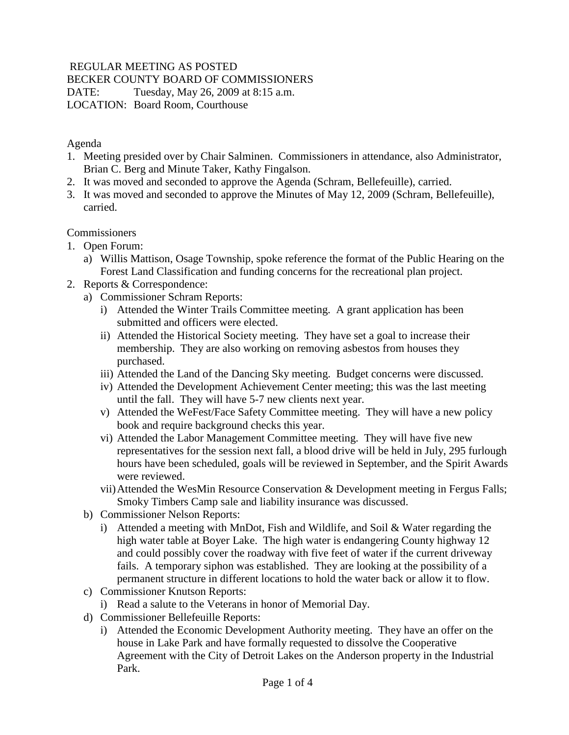## REGULAR MEETING AS POSTED

BECKER COUNTY BOARD OF COMMISSIONERS

DATE: Tuesday, May 26, 2009 at 8:15 a.m. LOCATION: Board Room, Courthouse

### Agenda

- 1. Meeting presided over by Chair Salminen. Commissioners in attendance, also Administrator, Brian C. Berg and Minute Taker, Kathy Fingalson.
- 2. It was moved and seconded to approve the Agenda (Schram, Bellefeuille), carried.
- 3. It was moved and seconded to approve the Minutes of May 12, 2009 (Schram, Bellefeuille), carried.

## Commissioners

- 1. Open Forum:
	- a) Willis Mattison, Osage Township, spoke reference the format of the Public Hearing on the Forest Land Classification and funding concerns for the recreational plan project.
- 2. Reports & Correspondence:
	- a) Commissioner Schram Reports:
		- i) Attended the Winter Trails Committee meeting. A grant application has been submitted and officers were elected.
		- ii) Attended the Historical Society meeting. They have set a goal to increase their membership. They are also working on removing asbestos from houses they purchased.
		- iii) Attended the Land of the Dancing Sky meeting. Budget concerns were discussed.
		- iv) Attended the Development Achievement Center meeting; this was the last meeting until the fall. They will have 5-7 new clients next year.
		- v) Attended the WeFest/Face Safety Committee meeting. They will have a new policy book and require background checks this year.
		- vi) Attended the Labor Management Committee meeting. They will have five new representatives for the session next fall, a blood drive will be held in July, 295 furlough hours have been scheduled, goals will be reviewed in September, and the Spirit Awards were reviewed.
		- vii)Attended the WesMin Resource Conservation & Development meeting in Fergus Falls; Smoky Timbers Camp sale and liability insurance was discussed.
	- b) Commissioner Nelson Reports:
		- i) Attended a meeting with MnDot, Fish and Wildlife, and Soil & Water regarding the high water table at Boyer Lake. The high water is endangering County highway 12 and could possibly cover the roadway with five feet of water if the current driveway fails. A temporary siphon was established. They are looking at the possibility of a permanent structure in different locations to hold the water back or allow it to flow.
	- c) Commissioner Knutson Reports:
		- i) Read a salute to the Veterans in honor of Memorial Day.
	- d) Commissioner Bellefeuille Reports:
		- i) Attended the Economic Development Authority meeting. They have an offer on the house in Lake Park and have formally requested to dissolve the Cooperative Agreement with the City of Detroit Lakes on the Anderson property in the Industrial Park.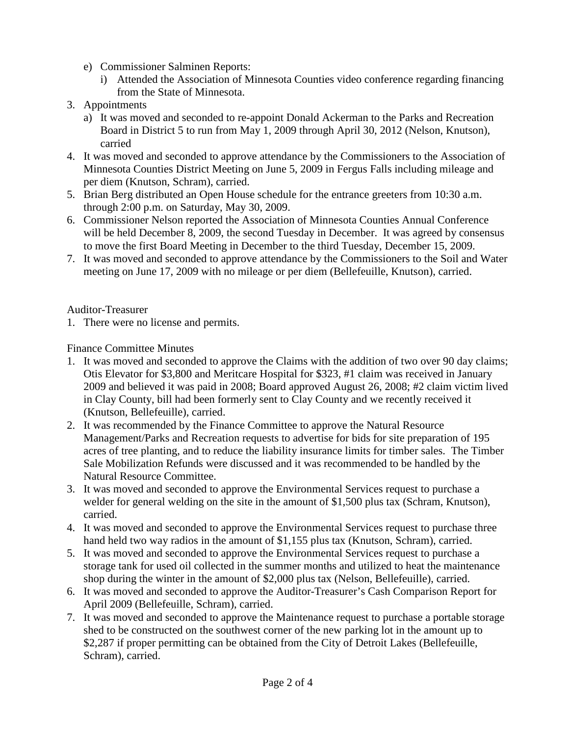- e) Commissioner Salminen Reports:
	- i) Attended the Association of Minnesota Counties video conference regarding financing from the State of Minnesota.
- 3. Appointments
	- a) It was moved and seconded to re-appoint Donald Ackerman to the Parks and Recreation Board in District 5 to run from May 1, 2009 through April 30, 2012 (Nelson, Knutson), carried
- 4. It was moved and seconded to approve attendance by the Commissioners to the Association of Minnesota Counties District Meeting on June 5, 2009 in Fergus Falls including mileage and per diem (Knutson, Schram), carried.
- 5. Brian Berg distributed an Open House schedule for the entrance greeters from 10:30 a.m. through 2:00 p.m. on Saturday, May 30, 2009.
- 6. Commissioner Nelson reported the Association of Minnesota Counties Annual Conference will be held December 8, 2009, the second Tuesday in December. It was agreed by consensus to move the first Board Meeting in December to the third Tuesday, December 15, 2009.
- 7. It was moved and seconded to approve attendance by the Commissioners to the Soil and Water meeting on June 17, 2009 with no mileage or per diem (Bellefeuille, Knutson), carried.

Auditor-Treasurer

1. There were no license and permits.

# Finance Committee Minutes

- 1. It was moved and seconded to approve the Claims with the addition of two over 90 day claims; Otis Elevator for \$3,800 and Meritcare Hospital for \$323, #1 claim was received in January 2009 and believed it was paid in 2008; Board approved August 26, 2008; #2 claim victim lived in Clay County, bill had been formerly sent to Clay County and we recently received it (Knutson, Bellefeuille), carried.
- 2. It was recommended by the Finance Committee to approve the Natural Resource Management/Parks and Recreation requests to advertise for bids for site preparation of 195 acres of tree planting, and to reduce the liability insurance limits for timber sales. The Timber Sale Mobilization Refunds were discussed and it was recommended to be handled by the Natural Resource Committee.
- 3. It was moved and seconded to approve the Environmental Services request to purchase a welder for general welding on the site in the amount of \$1,500 plus tax (Schram, Knutson), carried.
- 4. It was moved and seconded to approve the Environmental Services request to purchase three hand held two way radios in the amount of \$1,155 plus tax (Knutson, Schram), carried.
- 5. It was moved and seconded to approve the Environmental Services request to purchase a storage tank for used oil collected in the summer months and utilized to heat the maintenance shop during the winter in the amount of \$2,000 plus tax (Nelson, Bellefeuille), carried.
- 6. It was moved and seconded to approve the Auditor-Treasurer's Cash Comparison Report for April 2009 (Bellefeuille, Schram), carried.
- 7. It was moved and seconded to approve the Maintenance request to purchase a portable storage shed to be constructed on the southwest corner of the new parking lot in the amount up to \$2,287 if proper permitting can be obtained from the City of Detroit Lakes (Bellefeuille, Schram), carried.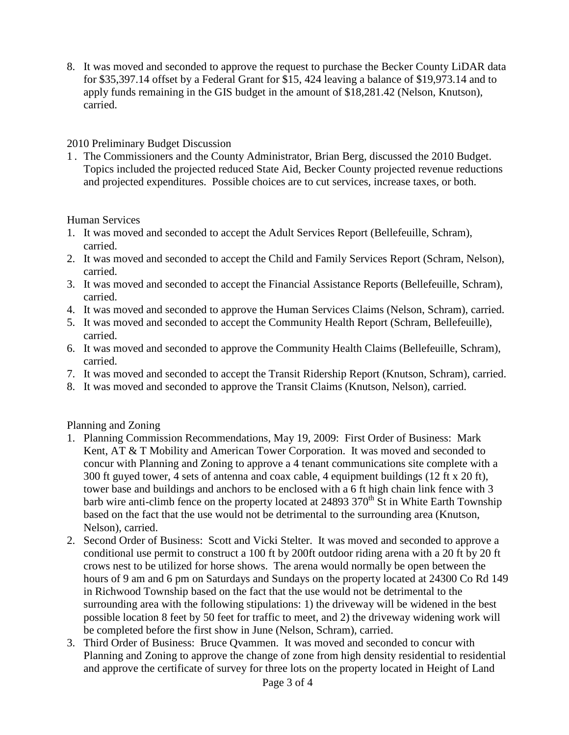8. It was moved and seconded to approve the request to purchase the Becker County LiDAR data for \$35,397.14 offset by a Federal Grant for \$15, 424 leaving a balance of \$19,973.14 and to apply funds remaining in the GIS budget in the amount of \$18,281.42 (Nelson, Knutson), carried.

#### 2010 Preliminary Budget Discussion

1 . The Commissioners and the County Administrator, Brian Berg, discussed the 2010 Budget. Topics included the projected reduced State Aid, Becker County projected revenue reductions and projected expenditures. Possible choices are to cut services, increase taxes, or both.

#### Human Services

- 1. It was moved and seconded to accept the Adult Services Report (Bellefeuille, Schram), carried.
- 2. It was moved and seconded to accept the Child and Family Services Report (Schram, Nelson), carried.
- 3. It was moved and seconded to accept the Financial Assistance Reports (Bellefeuille, Schram), carried.
- 4. It was moved and seconded to approve the Human Services Claims (Nelson, Schram), carried.
- 5. It was moved and seconded to accept the Community Health Report (Schram, Bellefeuille), carried.
- 6. It was moved and seconded to approve the Community Health Claims (Bellefeuille, Schram), carried.
- 7. It was moved and seconded to accept the Transit Ridership Report (Knutson, Schram), carried.
- 8. It was moved and seconded to approve the Transit Claims (Knutson, Nelson), carried.

#### Planning and Zoning

- 1. Planning Commission Recommendations, May 19, 2009: First Order of Business: Mark Kent, AT & T Mobility and American Tower Corporation. It was moved and seconded to concur with Planning and Zoning to approve a 4 tenant communications site complete with a 300 ft guyed tower, 4 sets of antenna and coax cable, 4 equipment buildings (12 ft x 20 ft), tower base and buildings and anchors to be enclosed with a 6 ft high chain link fence with 3 barb wire anti-climb fence on the property located at 24893 370<sup>th</sup> St in White Earth Township based on the fact that the use would not be detrimental to the surrounding area (Knutson, Nelson), carried.
- 2. Second Order of Business: Scott and Vicki Stelter. It was moved and seconded to approve a conditional use permit to construct a 100 ft by 200ft outdoor riding arena with a 20 ft by 20 ft crows nest to be utilized for horse shows. The arena would normally be open between the hours of 9 am and 6 pm on Saturdays and Sundays on the property located at 24300 Co Rd 149 in Richwood Township based on the fact that the use would not be detrimental to the surrounding area with the following stipulations: 1) the driveway will be widened in the best possible location 8 feet by 50 feet for traffic to meet, and 2) the driveway widening work will be completed before the first show in June (Nelson, Schram), carried.
- 3. Third Order of Business: Bruce Qvammen. It was moved and seconded to concur with Planning and Zoning to approve the change of zone from high density residential to residential and approve the certificate of survey for three lots on the property located in Height of Land